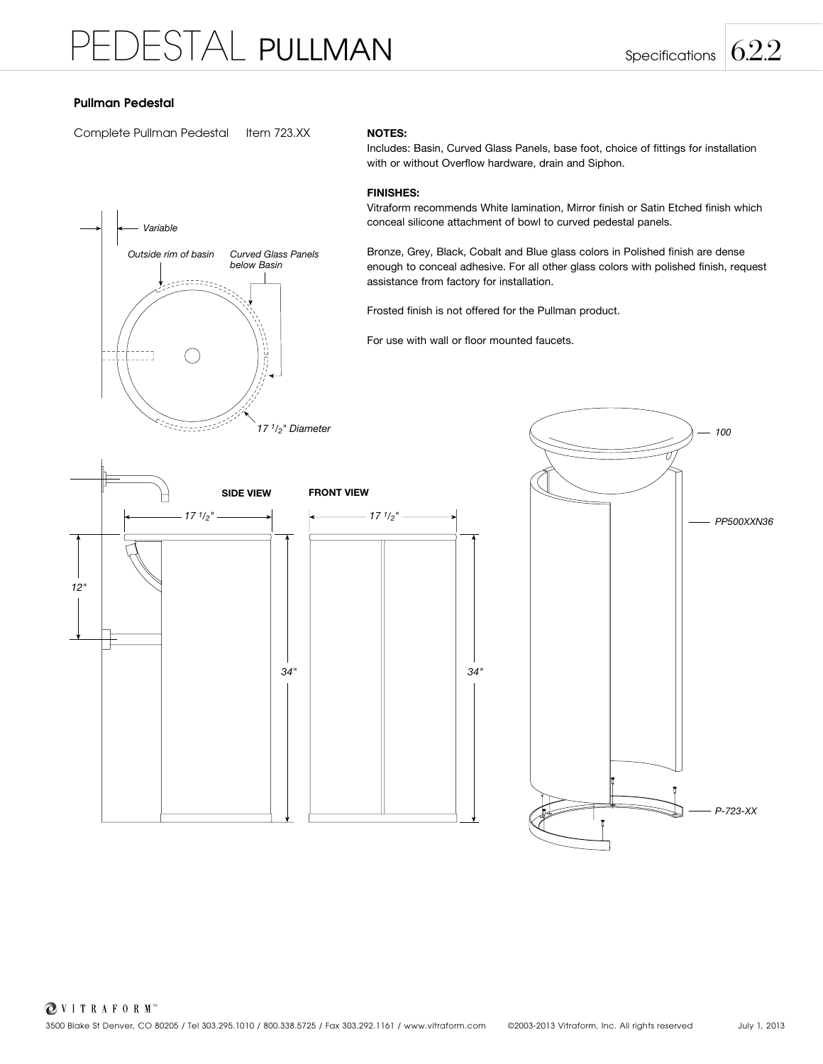# Pullman Pedestal

Complete Pullman Pedestal Item 723.XX

## $\left| \begin{array}{c} \left| \end{array} \right|$  **Variable** *Outside rim of basin Curved Glass Panels below Basin Variable*  Ez-*Outside rim of basin Curved Glass Panels below Basin Outside rim of basin Curved Glass Panels* Nu un *below Basin* Records S *17 1/2" Diameter*

## NOTES:

Includes: Basin, Curved Glass Panels, base foot, choice of fittings for installation with or without Overflow hardware, drain and Siphon.

## FINISHES:

Vitraform recommends White lamination, Mirror finish or Satin Etched finish which conceal silicone attachment of bowl to curved pedestal panels.

Bronze, Grey, Black, Cobalt and Blue glass colors in Polished finish are dense enough to conceal adhesive. For all other glass colors with polished finish, request assistance from factory for installation.

Frosted finish is not offered for the Pullman product.

For use with wall or floor mounted faucets.



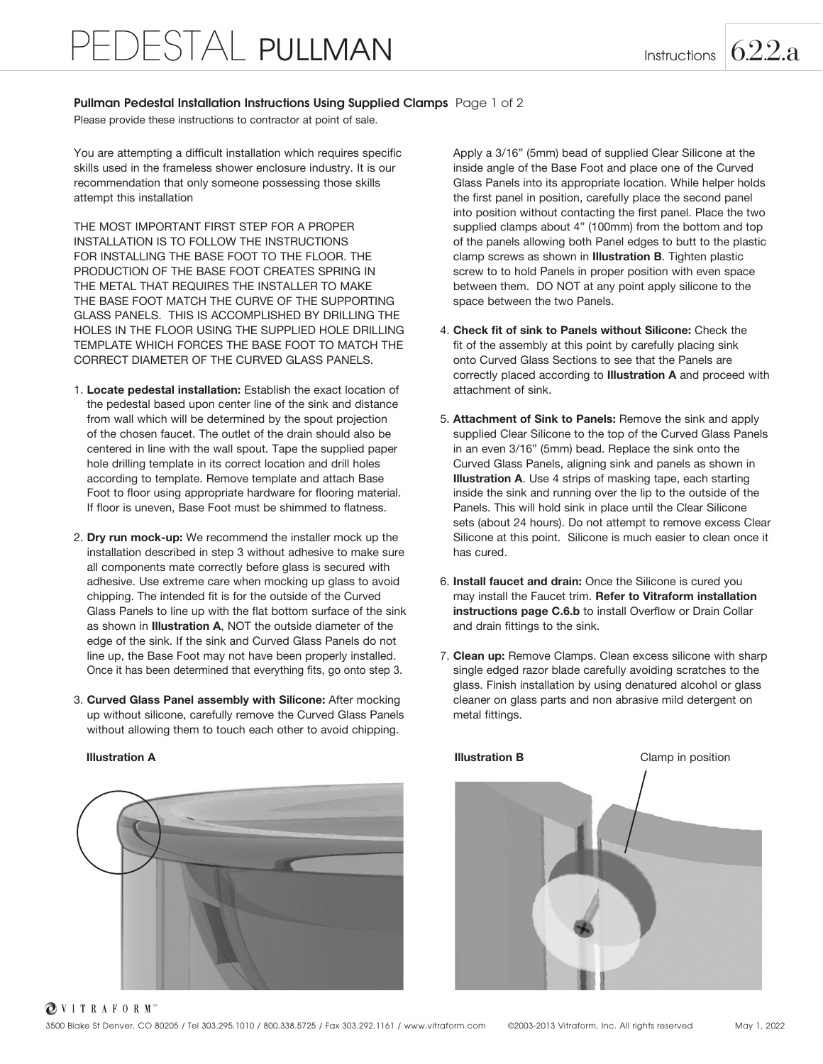# Pullman Pedestal Installation Instructions Using Supplied Clamps Page 1 of 2

Please provide these instructions to contractor at point of sale.

You are attempting a difficult installation which requires specific skills used in the frameless shower enclosure industry. It is our recommendation that only someone possessing those skills attempt this installation

THE MOST IMPORTANT FIRST STEP FOR A PROPER INSTALLATION IS TO FOLLOW THE INSTRUCTIONS FOR INSTALLING THE BASE FOOT TO THE FLOOR. THE PRODUCTION OF THE BASE FOOT CREATES SPRING IN THE METAL THAT REQUIRES THE INSTALLER TO MAKE THE BASE FOOT MATCH THE CURVE OF THE SUPPORTING GLASS PANELS. THIS IS ACCOMPLISHED BY DRILLING THE HOLES IN THE FLOOR USING THE SUPPLIED HOLE DRILLING TEMPLATE WHICH FORCES THE BASE FOOT TO MATCH THE CORRECT DIAMETER OF THE CURVED GLASS PANELS.

- 1. Locate pedestal installation: Establish the exact location of the pedestal based upon center line of the sink and distance from wall which will be determined by the spout projection of the chosen faucet. The outlet of the drain should also be centered in line with the wall spout. Tape the supplied paper hole drilling template in its correct location and drill holes according to template. Remove template and attach Base Foot to floor using appropriate hardware for flooring material. If floor is uneven, Base Foot must be shimmed to flatness.
- 2. Dry run mock-up: We recommend the installer mock up the installation described in step 3 without adhesive to make sure all components mate correctly before glass is secured with adhesive. Use extreme care when mocking up glass to avoid chipping. The intended fit is for the outside of the Curved Glass Panels to line up with the flat bottom surface of the sink as shown in Illustration A, NOT the outside diameter of the edge of the sink. If the sink and Curved Glass Panels do not line up, the Base Foot may not have been properly installed. Once it has been determined that everything fits, go onto step 3.
- 3. Curved Glass Panel assembly with Silicone: After mocking up without silicone, carefully remove the Curved Glass Panels without allowing them to touch each other to avoid chipping.



Apply a 3/16" (5mm) bead of supplied Clear Silicone at the inside angle of the Base Foot and place one of the Curved Glass Panels into its appropriate location. While helper holds the first panel in position, carefully place the second panel into position without contacting the first panel. Place the two supplied clamps about 4" (100mm) from the bottom and top of the panels allowing both Panel edges to butt to the plastic clamp screws as shown in Illustration B. Tighten plastic screw to to hold Panels in proper position with even space between them. DO NOT at any point apply silicone to the space between the two Panels.

- 4. Check fit of sink to Panels without Silicone: Check the fit of the assembly at this point by carefully placing sink onto Curved Glass Sections to see that the Panels are correctly placed according to Illustration A and proceed with attachment of sink.
- 5. Attachment of Sink to Panels: Remove the sink and apply supplied Clear Silicone to the top of the Curved Glass Panels in an even 3/16" (5mm) bead. Replace the sink onto the Curved Glass Panels, aligning sink and panels as shown in Illustration A. Use 4 strips of masking tape, each starting inside the sink and running over the lip to the outside of the Panels. This will hold sink in place until the Clear Silicone sets (about 24 hours). Do not attempt to remove excess Clear Silicone at this point. Silicone is much easier to clean once it has cured.
- 6. Install faucet and drain: Once the Silicone is cured you may install the Faucet trim. Refer to Vitraform installation instructions page C.6.b to install Overflow or Drain Collar and drain fittings to the sink.
- 7. Clean up: Remove Clamps. Clean excess silicone with sharp single edged razor blade carefully avoiding scratches to the glass. Finish installation by using denatured alcohol or glass cleaner on glass parts and non abrasive mild detergent on metal fittings.



OVITRAFORM<sup>\*\*</sup>